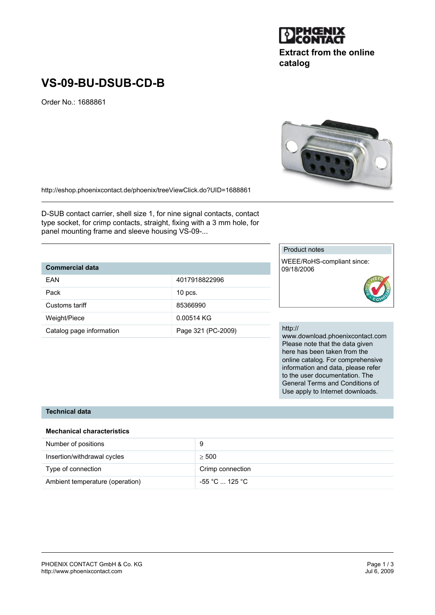#### PHOENIX CONTACT GmbH & Co. KG<br>
http://www.phoenixcontact.com<br>
Jul 6, 2009 http://www.phoenixcontact.com

## **VS-09-BU-DSUB-CD-B**

Order No.: 1688861

http://eshop.phoenixcontact.de/phoenix/treeViewClick.do?UID=1688861

D-SUB contact carrier, shell size 1, for nine signal contacts, contact type socket, for crimp contacts, straight, fixing with a 3 mm hole, for panel mounting frame and sleeve housing VS-09-...

### **Commercial data**

| EAN                      | 4017918822996      |
|--------------------------|--------------------|
| Pack                     | $10$ pcs.          |
| Customs tariff           | 85366990           |
| Weight/Piece             | 0.00514 KG         |
| Catalog page information | Page 321 (PC-2009) |

# Product notes

WEEE/RoHS-compliant since: 09/18/2006

#### http://

www.download.phoenixcontact.com Please note that the data given here has been taken from the online catalog. For comprehensive information and data, please refer to the user documentation. The General Terms and Conditions of Use apply to Internet downloads.

#### **Technical data**

#### **Mechanical characteristics**

| Number of positions             | 9                |
|---------------------------------|------------------|
| Insertion/withdrawal cycles     | > 500            |
| Type of connection              | Crimp connection |
| Ambient temperature (operation) | -55 °C  125 °C   |





**catalog**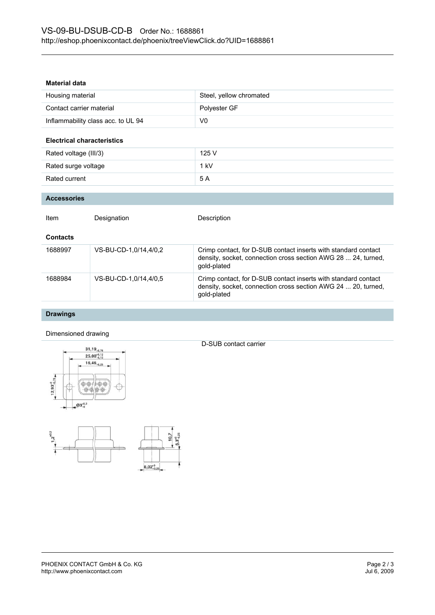#### **Material data**

| Housing material                   | Steel, yellow chromated |
|------------------------------------|-------------------------|
| Contact carrier material           | Polyester GF            |
| Inflammability class acc. to UL 94 | V0                      |

#### **Electrical characteristics**

| Rated voltage (III/3) | 125 V  |
|-----------------------|--------|
| Rated surge voltage   | $1$ kV |
| Rated current         | 5 A    |

#### **Accessories**

| Item            | Designation           | Description                                                                                                                                    |
|-----------------|-----------------------|------------------------------------------------------------------------------------------------------------------------------------------------|
| <b>Contacts</b> |                       |                                                                                                                                                |
| 1688997         | VS-BU-CD-1,0/14,4/0,2 | Crimp contact, for D-SUB contact inserts with standard contact<br>density, socket, connection cross section AWG 28  24, turned,<br>gold-plated |
| 1688984         | VS-BU-CD-1.0/14.4/0.5 | Crimp contact, for D-SUB contact inserts with standard contact<br>density, socket, connection cross section AWG 24  20, turned,<br>gold-plated |

#### **Drawings**

#### Dimensioned drawing



D-SUB contact carrier